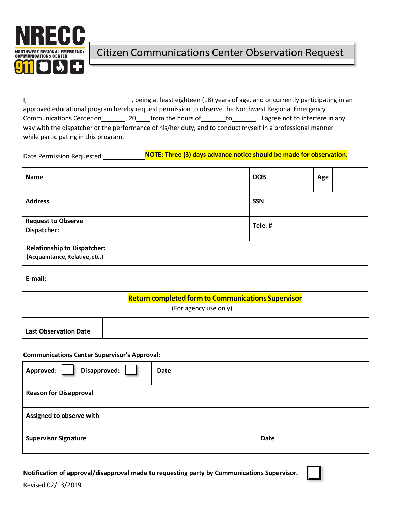

I, seing at least eighteen (18) years of age, and or currently participating in an approved educational program hereby request permission to observe the Northwest Regional Emergency Communications Center on \_\_\_\_\_\_\_\_, 20\_\_\_\_\_from the hours of \_\_\_\_\_\_\_\_to\_\_\_\_\_\_\_\_. I agree not to interfere in any way with the dispatcher or the performance of his/her duty, and to conduct myself in a professional manner while participating in this program.

## Date Permission Requested: **NOTE: Three (3) days advance notice should be made for observation.**

| Name                                                                 |  |  |            |  | <b>DOB</b> |  | Age |  |
|----------------------------------------------------------------------|--|--|------------|--|------------|--|-----|--|
| <b>Address</b>                                                       |  |  | <b>SSN</b> |  |            |  |     |  |
| <b>Request to Observe</b><br>Dispatcher:                             |  |  |            |  | Tele.#     |  |     |  |
| <b>Relationship to Dispatcher:</b><br>(Acquaintance, Relative, etc.) |  |  |            |  |            |  |     |  |
| E-mail:                                                              |  |  |            |  |            |  |     |  |

### **Return completed form to Communications Supervisor**

(For agency use only)

| <b>Last Observation Date</b> |  |
|------------------------------|--|
|                              |  |

### **Communications Center Supervisor's Approval:**

| Disapproved:<br>Approved:     | Date |  |  |             |  |
|-------------------------------|------|--|--|-------------|--|
| <b>Reason for Disapproval</b> |      |  |  |             |  |
| Assigned to observe with      |      |  |  |             |  |
| <b>Supervisor Signature</b>   |      |  |  | <b>Date</b> |  |

### **Notification of approval/disapproval made to requesting party by Communications Supervisor.**

Revised 02/13/2019